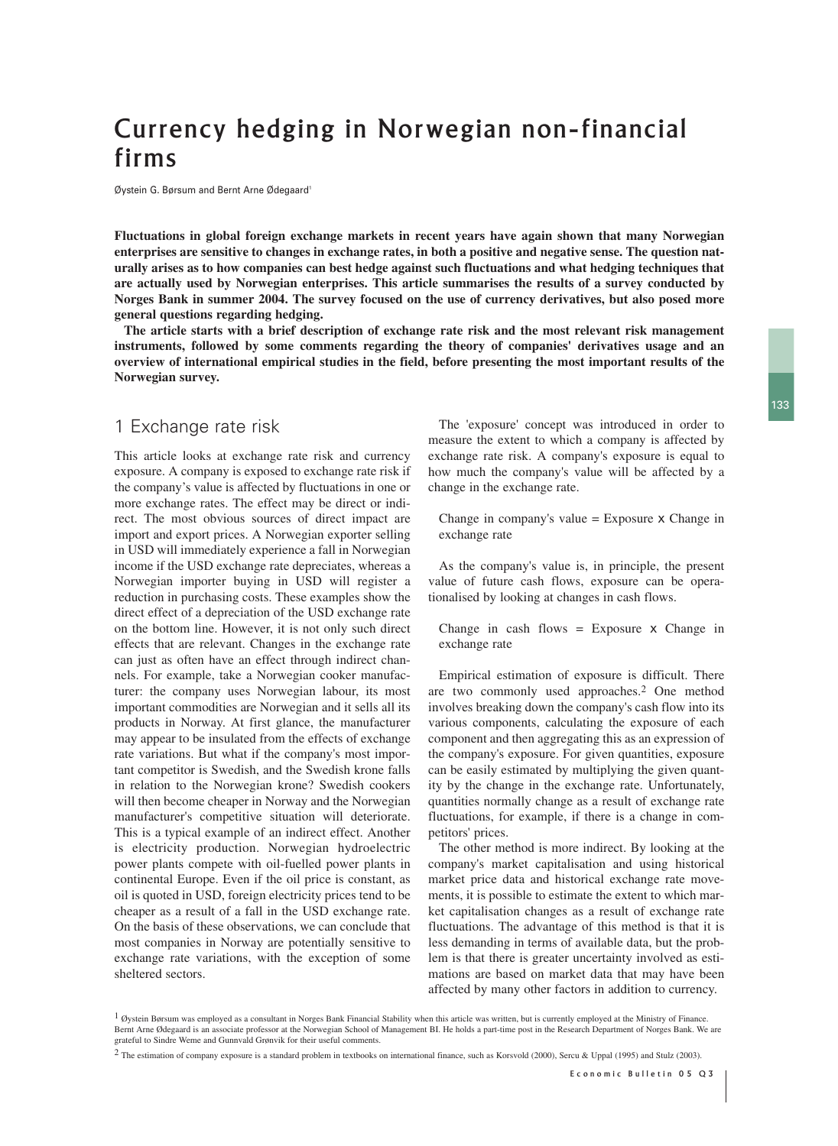# Currency hedging in Norwegian non-financial firms

Øystein G. Børsum and Bernt Arne Ødegaard<sup>1</sup>

**Fluctuations in global foreign exchange markets in recent years have again shown that many Norwegian enterprises are sensitive to changes in exchange rates, in both a positive and negative sense. The question naturally arises as to how companies can best hedge against such fluctuations and what hedging techniques that are actually used by Norwegian enterprises. This article summarises the results of a survey conducted by Norges Bank in summer 2004. The survey focused on the use of currency derivatives, but also posed more general questions regarding hedging.**

**The article starts with a brief description of exchange rate risk and the most relevant risk management instruments, followed by some comments regarding the theory of companies' derivatives usage and an overview of international empirical studies in the field, before presenting the most important results of the Norwegian survey.** 

#### 1 Exchange rate risk

This article looks at exchange rate risk and currency exposure. A company is exposed to exchange rate risk if the company's value is affected by fluctuations in one or more exchange rates. The effect may be direct or indirect. The most obvious sources of direct impact are import and export prices. A Norwegian exporter selling in USD will immediately experience a fall in Norwegian income if the USD exchange rate depreciates, whereas a Norwegian importer buying in USD will register a reduction in purchasing costs. These examples show the direct effect of a depreciation of the USD exchange rate on the bottom line. However, it is not only such direct effects that are relevant. Changes in the exchange rate can just as often have an effect through indirect channels. For example, take a Norwegian cooker manufacturer: the company uses Norwegian labour, its most important commodities are Norwegian and it sells all its products in Norway. At first glance, the manufacturer may appear to be insulated from the effects of exchange rate variations. But what if the company's most important competitor is Swedish, and the Swedish krone falls in relation to the Norwegian krone? Swedish cookers will then become cheaper in Norway and the Norwegian manufacturer's competitive situation will deteriorate. This is a typical example of an indirect effect. Another is electricity production. Norwegian hydroelectric power plants compete with oil-fuelled power plants in continental Europe. Even if the oil price is constant, as oil is quoted in USD, foreign electricity prices tend to be cheaper as a result of a fall in the USD exchange rate. On the basis of these observations, we can conclude that most companies in Norway are potentially sensitive to exchange rate variations, with the exception of some sheltered sectors.

The 'exposure' concept was introduced in order to measure the extent to which a company is affected by exchange rate risk. A company's exposure is equal to how much the company's value will be affected by a change in the exchange rate.

Change in company's value  $=$  Exposure  $\times$  Change in exchange rate

As the company's value is, in principle, the present value of future cash flows, exposure can be operationalised by looking at changes in cash flows.

Change in cash flows  $=$  Exposure  $\times$  Change in exchange rate

Empirical estimation of exposure is difficult. There are two commonly used approaches.2 One method involves breaking down the company's cash flow into its various components, calculating the exposure of each component and then aggregating this as an expression of the company's exposure. For given quantities, exposure can be easily estimated by multiplying the given quantity by the change in the exchange rate. Unfortunately, quantities normally change as a result of exchange rate fluctuations, for example, if there is a change in competitors' prices.

The other method is more indirect. By looking at the company's market capitalisation and using historical market price data and historical exchange rate movements, it is possible to estimate the extent to which market capitalisation changes as a result of exchange rate fluctuations. The advantage of this method is that it is less demanding in terms of available data, but the problem is that there is greater uncertainty involved as estimations are based on market data that may have been affected by many other factors in addition to currency.

<sup>&</sup>lt;sup>1</sup> Øystein Børsum was employed as a consultant in Norges Bank Financial Stability when this article was written, but is currently employed at the Ministry of Finance. Bernt Arne Ødegaard is an associate professor at the Norwegian School of Management BI. He holds a part-time post in the Research Department of Norges Bank. We are grateful to Sindre Weme and Gunnvald Grønvik for their useful comments.

<sup>2</sup> The estimation of company exposure is a standard problem in textbooks on international finance, such as Korsvold (2000), Sercu & Uppal (1995) and Stulz (2003).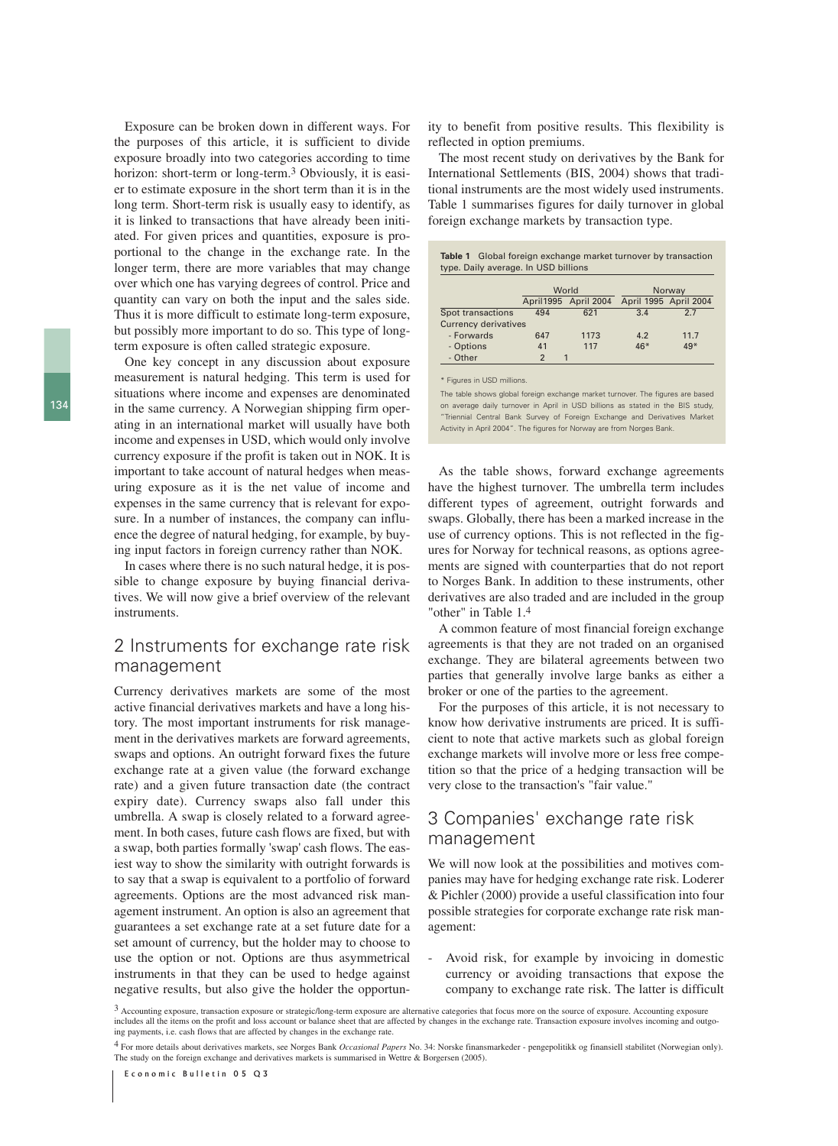Exposure can be broken down in different ways. For the purposes of this article, it is sufficient to divide exposure broadly into two categories according to time horizon: short-term or long-term.3 Obviously, it is easier to estimate exposure in the short term than it is in the long term. Short-term risk is usually easy to identify, as it is linked to transactions that have already been initiated. For given prices and quantities, exposure is proportional to the change in the exchange rate. In the longer term, there are more variables that may change over which one has varying degrees of control. Price and quantity can vary on both the input and the sales side. Thus it is more difficult to estimate long-term exposure, but possibly more important to do so. This type of longterm exposure is often called strategic exposure.

One key concept in any discussion about exposure measurement is natural hedging. This term is used for situations where income and expenses are denominated in the same currency. A Norwegian shipping firm operating in an international market will usually have both income and expenses in USD, which would only involve currency exposure if the profit is taken out in NOK. It is important to take account of natural hedges when measuring exposure as it is the net value of income and expenses in the same currency that is relevant for exposure. In a number of instances, the company can influence the degree of natural hedging, for example, by buying input factors in foreign currency rather than NOK.

In cases where there is no such natural hedge, it is possible to change exposure by buying financial derivatives. We will now give a brief overview of the relevant instruments.

## 2 Instruments for exchange rate risk management

Currency derivatives markets are some of the most active financial derivatives markets and have a long history. The most important instruments for risk management in the derivatives markets are forward agreements, swaps and options. An outright forward fixes the future exchange rate at a given value (the forward exchange rate) and a given future transaction date (the contract expiry date). Currency swaps also fall under this umbrella. A swap is closely related to a forward agreement. In both cases, future cash flows are fixed, but with a swap, both parties formally 'swap' cash flows. The easiest way to show the similarity with outright forwards is to say that a swap is equivalent to a portfolio of forward agreements. Options are the most advanced risk management instrument. An option is also an agreement that guarantees a set exchange rate at a set future date for a set amount of currency, but the holder may to choose to use the option or not. Options are thus asymmetrical instruments in that they can be used to hedge against negative results, but also give the holder the opportunity to benefit from positive results. This flexibility is reflected in option premiums.

The most recent study on derivatives by the Bank for International Settlements (BIS, 2004) shows that traditional instruments are the most widely used instruments. Table 1 summarises figures for daily turnover in global foreign exchange markets by transaction type.

| <b>Table 1</b> Global foreign exchange market turnover by transaction |
|-----------------------------------------------------------------------|
| type. Daily average. In USD billions                                  |

|                             |                | World                | Norway |                       |  |  |  |
|-----------------------------|----------------|----------------------|--------|-----------------------|--|--|--|
|                             |                | April1995 April 2004 |        | April 1995 April 2004 |  |  |  |
| Spot transactions           | 494            | 621                  | 3.4    | 27                    |  |  |  |
| <b>Currency derivatives</b> |                |                      |        |                       |  |  |  |
| - Forwards                  | 647            | 1173                 | 4.2    | 11.7                  |  |  |  |
| - Options                   | 41             | 117                  | $46*$  | $49*$                 |  |  |  |
| - Other                     | $\mathfrak{p}$ | 1                    |        |                       |  |  |  |

\* Figures in USD millions.

The table shows global foreign exchange market turnover. The figures are based on average daily turnover in April in USD billions as stated in the BIS study, "Triennial Central Bank Survey of Foreign Exchange and Derivatives Market Activity in April 2004". The figures for Norway are from Norges Bank.

As the table shows, forward exchange agreements have the highest turnover. The umbrella term includes different types of agreement, outright forwards and swaps. Globally, there has been a marked increase in the use of currency options. This is not reflected in the figures for Norway for technical reasons, as options agreements are signed with counterparties that do not report to Norges Bank. In addition to these instruments, other derivatives are also traded and are included in the group "other" in Table 1.4

A common feature of most financial foreign exchange agreements is that they are not traded on an organised exchange. They are bilateral agreements between two parties that generally involve large banks as either a broker or one of the parties to the agreement.

For the purposes of this article, it is not necessary to know how derivative instruments are priced. It is sufficient to note that active markets such as global foreign exchange markets will involve more or less free competition so that the price of a hedging transaction will be very close to the transaction's "fair value."

## 3 Companies' exchange rate risk management

We will now look at the possibilities and motives companies may have for hedging exchange rate risk. Loderer & Pichler (2000) provide a useful classification into four possible strategies for corporate exchange rate risk management:

- Avoid risk, for example by invoicing in domestic currency or avoiding transactions that expose the company to exchange rate risk. The latter is difficult

<sup>3</sup> Accounting exposure, transaction exposure or strategic/long-term exposure are alternative categories that focus more on the source of exposure. Accounting exposure includes all the items on the profit and loss account or balance sheet that are affected by changes in the exchange rate. Transaction exposure involves incoming and outgoing payments, i.e. cash flows that are affected by changes in the exchange rate.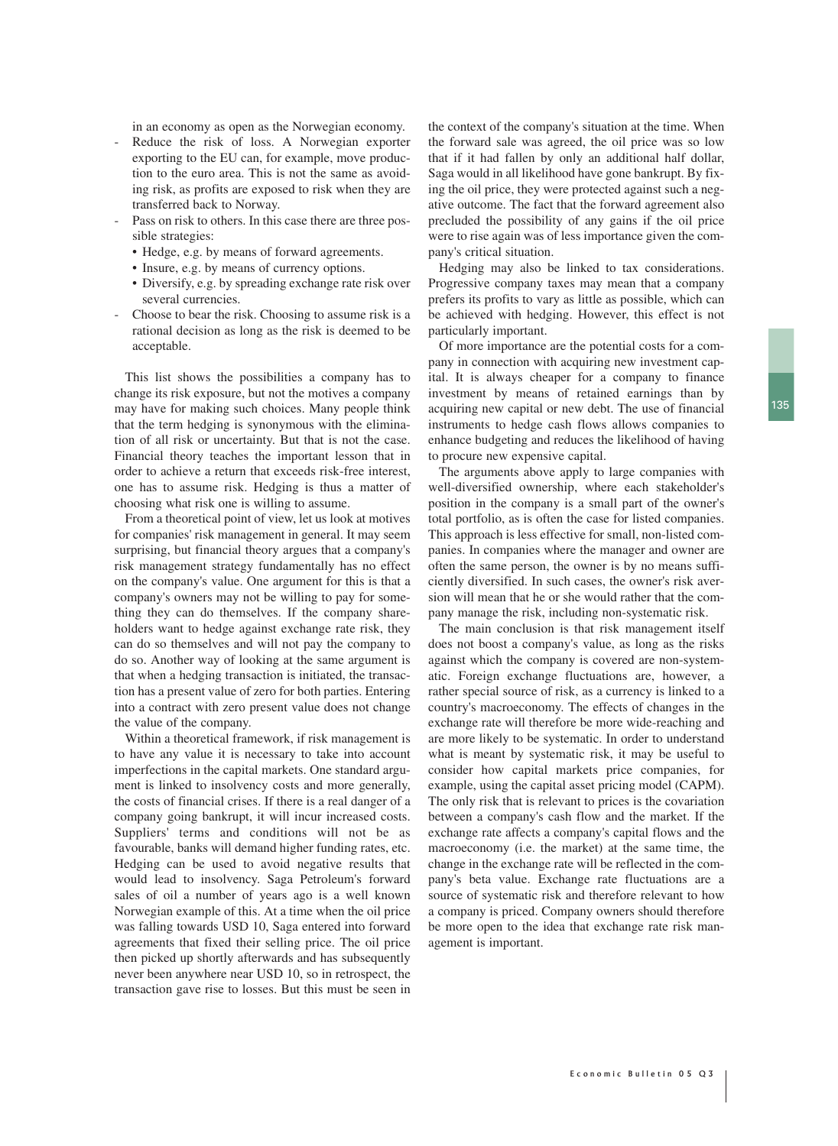in an economy as open as the Norwegian economy.

- Reduce the risk of loss. A Norwegian exporter exporting to the EU can, for example, move production to the euro area. This is not the same as avoiding risk, as profits are exposed to risk when they are transferred back to Norway.
- Pass on risk to others. In this case there are three possible strategies:
	- Hedge, e.g. by means of forward agreements.
	- Insure, e.g. by means of currency options.
	- Diversify, e.g. by spreading exchange rate risk over several currencies.
- Choose to bear the risk. Choosing to assume risk is a rational decision as long as the risk is deemed to be acceptable.

This list shows the possibilities a company has to change its risk exposure, but not the motives a company may have for making such choices. Many people think that the term hedging is synonymous with the elimination of all risk or uncertainty. But that is not the case. Financial theory teaches the important lesson that in order to achieve a return that exceeds risk-free interest, one has to assume risk. Hedging is thus a matter of choosing what risk one is willing to assume.

From a theoretical point of view, let us look at motives for companies' risk management in general. It may seem surprising, but financial theory argues that a company's risk management strategy fundamentally has no effect on the company's value. One argument for this is that a company's owners may not be willing to pay for something they can do themselves. If the company shareholders want to hedge against exchange rate risk, they can do so themselves and will not pay the company to do so. Another way of looking at the same argument is that when a hedging transaction is initiated, the transaction has a present value of zero for both parties. Entering into a contract with zero present value does not change the value of the company.

Within a theoretical framework, if risk management is to have any value it is necessary to take into account imperfections in the capital markets. One standard argument is linked to insolvency costs and more generally, the costs of financial crises. If there is a real danger of a company going bankrupt, it will incur increased costs. Suppliers' terms and conditions will not be as favourable, banks will demand higher funding rates, etc. Hedging can be used to avoid negative results that would lead to insolvency. Saga Petroleum's forward sales of oil a number of years ago is a well known Norwegian example of this. At a time when the oil price was falling towards USD 10, Saga entered into forward agreements that fixed their selling price. The oil price then picked up shortly afterwards and has subsequently never been anywhere near USD 10, so in retrospect, the transaction gave rise to losses. But this must be seen in

the context of the company's situation at the time. When the forward sale was agreed, the oil price was so low that if it had fallen by only an additional half dollar, Saga would in all likelihood have gone bankrupt. By fixing the oil price, they were protected against such a negative outcome. The fact that the forward agreement also precluded the possibility of any gains if the oil price were to rise again was of less importance given the company's critical situation.

Hedging may also be linked to tax considerations. Progressive company taxes may mean that a company prefers its profits to vary as little as possible, which can be achieved with hedging. However, this effect is not particularly important.

Of more importance are the potential costs for a company in connection with acquiring new investment capital. It is always cheaper for a company to finance investment by means of retained earnings than by acquiring new capital or new debt. The use of financial instruments to hedge cash flows allows companies to enhance budgeting and reduces the likelihood of having to procure new expensive capital.

The arguments above apply to large companies with well-diversified ownership, where each stakeholder's position in the company is a small part of the owner's total portfolio, as is often the case for listed companies. This approach is less effective for small, non-listed companies. In companies where the manager and owner are often the same person, the owner is by no means sufficiently diversified. In such cases, the owner's risk aversion will mean that he or she would rather that the company manage the risk, including non-systematic risk.

The main conclusion is that risk management itself does not boost a company's value, as long as the risks against which the company is covered are non-systematic. Foreign exchange fluctuations are, however, a rather special source of risk, as a currency is linked to a country's macroeconomy. The effects of changes in the exchange rate will therefore be more wide-reaching and are more likely to be systematic. In order to understand what is meant by systematic risk, it may be useful to consider how capital markets price companies, for example, using the capital asset pricing model (CAPM). The only risk that is relevant to prices is the covariation between a company's cash flow and the market. If the exchange rate affects a company's capital flows and the macroeconomy (i.e. the market) at the same time, the change in the exchange rate will be reflected in the company's beta value. Exchange rate fluctuations are a source of systematic risk and therefore relevant to how a company is priced. Company owners should therefore be more open to the idea that exchange rate risk management is important.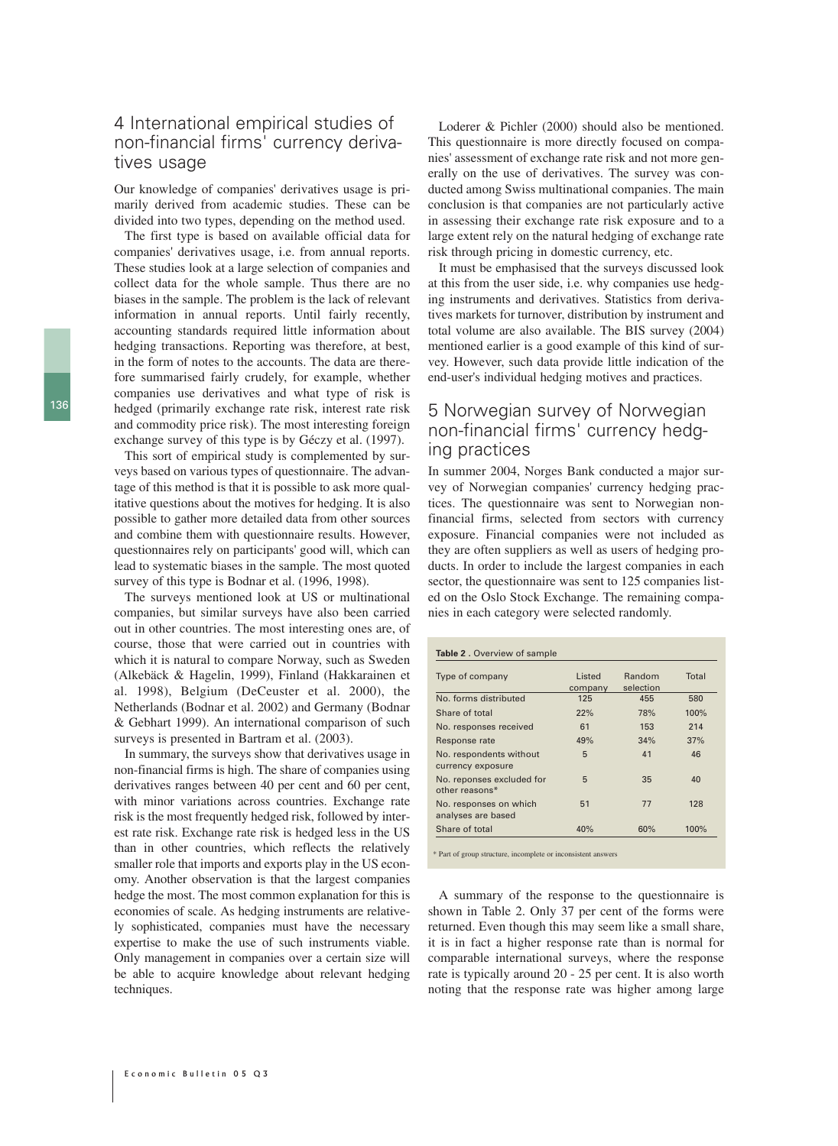#### 4 International empirical studies of non-financial firms' currency derivatives usage

Our knowledge of companies' derivatives usage is primarily derived from academic studies. These can be divided into two types, depending on the method used.

The first type is based on available official data for companies' derivatives usage, i.e. from annual reports. These studies look at a large selection of companies and collect data for the whole sample. Thus there are no biases in the sample. The problem is the lack of relevant information in annual reports. Until fairly recently, accounting standards required little information about hedging transactions. Reporting was therefore, at best, in the form of notes to the accounts. The data are therefore summarised fairly crudely, for example, whether companies use derivatives and what type of risk is hedged (primarily exchange rate risk, interest rate risk and commodity price risk). The most interesting foreign exchange survey of this type is by Géczy et al. (1997).

This sort of empirical study is complemented by surveys based on various types of questionnaire. The advantage of this method is that it is possible to ask more qualitative questions about the motives for hedging. It is also possible to gather more detailed data from other sources and combine them with questionnaire results. However, questionnaires rely on participants' good will, which can lead to systematic biases in the sample. The most quoted survey of this type is Bodnar et al. (1996, 1998).

The surveys mentioned look at US or multinational companies, but similar surveys have also been carried out in other countries. The most interesting ones are, of course, those that were carried out in countries with which it is natural to compare Norway, such as Sweden (Alkebäck & Hagelin, 1999), Finland (Hakkarainen et al. 1998), Belgium (DeCeuster et al. 2000), the Netherlands (Bodnar et al. 2002) and Germany (Bodnar & Gebhart 1999). An international comparison of such surveys is presented in Bartram et al. (2003).

In summary, the surveys show that derivatives usage in non-financial firms is high. The share of companies using derivatives ranges between 40 per cent and 60 per cent, with minor variations across countries. Exchange rate risk is the most frequently hedged risk, followed by interest rate risk. Exchange rate risk is hedged less in the US than in other countries, which reflects the relatively smaller role that imports and exports play in the US economy. Another observation is that the largest companies hedge the most. The most common explanation for this is economies of scale. As hedging instruments are relatively sophisticated, companies must have the necessary expertise to make the use of such instruments viable. Only management in companies over a certain size will be able to acquire knowledge about relevant hedging techniques.

Loderer & Pichler (2000) should also be mentioned. This questionnaire is more directly focused on companies' assessment of exchange rate risk and not more generally on the use of derivatives. The survey was conducted among Swiss multinational companies. The main conclusion is that companies are not particularly active in assessing their exchange rate risk exposure and to a large extent rely on the natural hedging of exchange rate risk through pricing in domestic currency, etc.

It must be emphasised that the surveys discussed look at this from the user side, i.e. why companies use hedging instruments and derivatives. Statistics from derivatives markets for turnover, distribution by instrument and total volume are also available. The BIS survey (2004) mentioned earlier is a good example of this kind of survey. However, such data provide little indication of the end-user's individual hedging motives and practices.

# 5 Norwegian survey of Norwegian non-financial firms' currency hedging practices

In summer 2004, Norges Bank conducted a major survey of Norwegian companies' currency hedging practices. The questionnaire was sent to Norwegian nonfinancial firms, selected from sectors with currency exposure. Financial companies were not included as they are often suppliers as well as users of hedging products. In order to include the largest companies in each sector, the questionnaire was sent to 125 companies listed on the Oslo Stock Exchange. The remaining companies in each category were selected randomly.

| Table 2. Overview of sample                  |                   |                     |       |  |  |  |
|----------------------------------------------|-------------------|---------------------|-------|--|--|--|
| Type of company                              | Listed<br>company | Random<br>selection | Total |  |  |  |
| No. forms distributed                        | 125               | 455                 | 580   |  |  |  |
| Share of total                               | 22%               | 78%                 | 100%  |  |  |  |
| No. responses received                       | 61                | 153                 | 214   |  |  |  |
| Response rate                                | 49%               | 34%                 | 37%   |  |  |  |
| No. respondents without<br>currency exposure | 5                 | 41                  | 46    |  |  |  |
| No. reponses excluded for<br>other reasons*  | 5                 | 35                  | 40    |  |  |  |
| No. responses on which<br>analyses are based | 51                | 77                  | 128   |  |  |  |
| Share of total                               | 40%               | 60%                 | 100%  |  |  |  |

\* Part of group structure, incomplete or inconsistent answers

A summary of the response to the questionnaire is shown in Table 2. Only 37 per cent of the forms were returned. Even though this may seem like a small share, it is in fact a higher response rate than is normal for comparable international surveys, where the response rate is typically around 20 - 25 per cent. It is also worth noting that the response rate was higher among large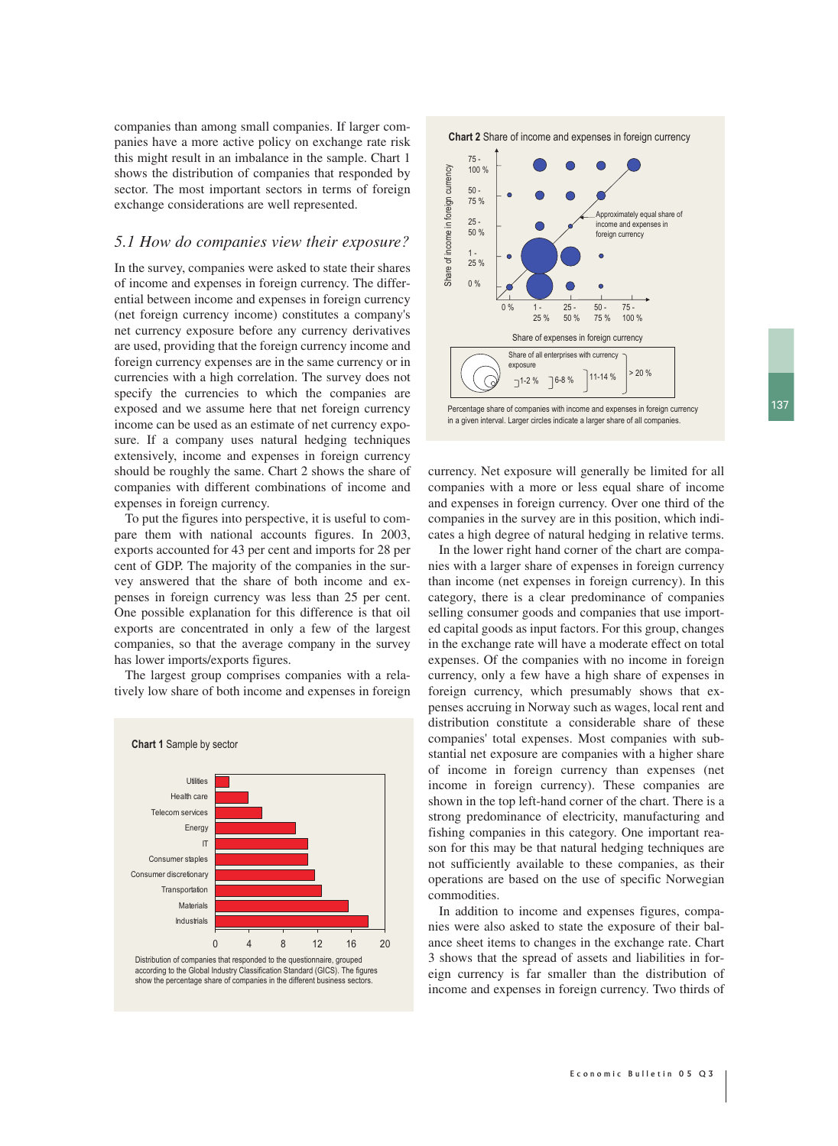companies than among small companies. If larger companies have a more active policy on exchange rate risk this might result in an imbalance in the sample. Chart 1 shows the distribution of companies that responded by sector. The most important sectors in terms of foreign exchange considerations are well represented.

#### *5.1 How do companies view their exposure?*

In the survey, companies were asked to state their shares of income and expenses in foreign currency. The differential between income and expenses in foreign currency (net foreign currency income) constitutes a company's net currency exposure before any currency derivatives are used, providing that the foreign currency income and foreign currency expenses are in the same currency or in currencies with a high correlation. The survey does not specify the currencies to which the companies are exposed and we assume here that net foreign currency income can be used as an estimate of net currency exposure. If a company uses natural hedging techniques extensively, income and expenses in foreign currency should be roughly the same. Chart 2 shows the share of companies with different combinations of income and expenses in foreign currency.

To put the figures into perspective, it is useful to compare them with national accounts figures. In 2003, exports accounted for 43 per cent and imports for 28 per cent of GDP. The majority of the companies in the survey answered that the share of both income and expenses in foreign currency was less than 25 per cent. One possible explanation for this difference is that oil exports are concentrated in only a few of the largest companies, so that the average company in the survey has lower imports/exports figures.

The largest group comprises companies with a relatively low share of both income and expenses in foreign



**Chart 2** Share of income and expenses in foreign currency



Percentage share of companies with income and expenses in foreign currency in a given interval. Larger circles indicate a larger share of all companies.

currency. Net exposure will generally be limited for all companies with a more or less equal share of income and expenses in foreign currency. Over one third of the companies in the survey are in this position, which indicates a high degree of natural hedging in relative terms.

In the lower right hand corner of the chart are companies with a larger share of expenses in foreign currency than income (net expenses in foreign currency). In this category, there is a clear predominance of companies selling consumer goods and companies that use imported capital goods as input factors. For this group, changes in the exchange rate will have a moderate effect on total expenses. Of the companies with no income in foreign currency, only a few have a high share of expenses in foreign currency, which presumably shows that expenses accruing in Norway such as wages, local rent and distribution constitute a considerable share of these companies' total expenses. Most companies with substantial net exposure are companies with a higher share of income in foreign currency than expenses (net income in foreign currency). These companies are shown in the top left-hand corner of the chart. There is a strong predominance of electricity, manufacturing and fishing companies in this category. One important reason for this may be that natural hedging techniques are not sufficiently available to these companies, as their operations are based on the use of specific Norwegian commodities.

In addition to income and expenses figures, companies were also asked to state the exposure of their balance sheet items to changes in the exchange rate. Chart 3 shows that the spread of assets and liabilities in foreign currency is far smaller than the distribution of income and expenses in foreign currency. Two thirds of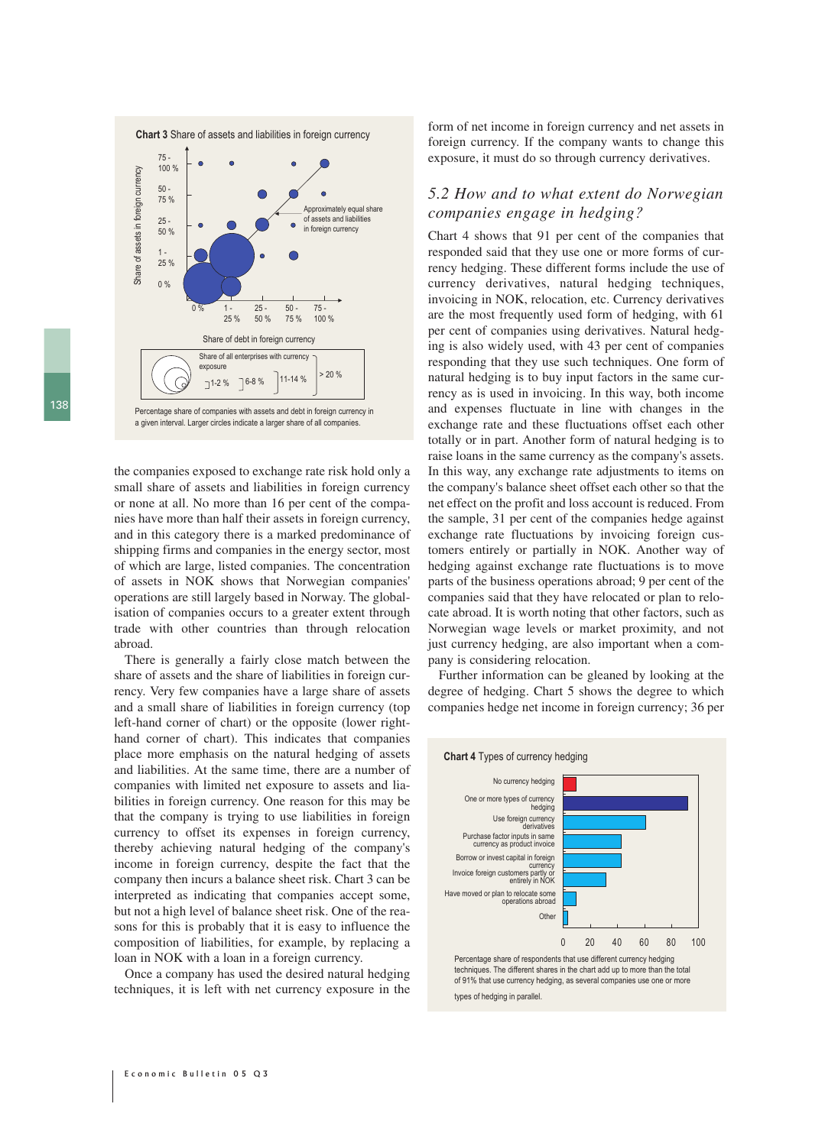

a given interval. Larger circles indicate a larger share of all companies.

the companies exposed to exchange rate risk hold only a small share of assets and liabilities in foreign currency or none at all. No more than 16 per cent of the companies have more than half their assets in foreign currency, and in this category there is a marked predominance of shipping firms and companies in the energy sector, most of which are large, listed companies. The concentration of assets in NOK shows that Norwegian companies' operations are still largely based in Norway. The globalisation of companies occurs to a greater extent through trade with other countries than through relocation abroad.

There is generally a fairly close match between the share of assets and the share of liabilities in foreign currency. Very few companies have a large share of assets and a small share of liabilities in foreign currency (top left-hand corner of chart) or the opposite (lower righthand corner of chart). This indicates that companies place more emphasis on the natural hedging of assets and liabilities. At the same time, there are a number of companies with limited net exposure to assets and liabilities in foreign currency. One reason for this may be that the company is trying to use liabilities in foreign currency to offset its expenses in foreign currency, thereby achieving natural hedging of the company's income in foreign currency, despite the fact that the company then incurs a balance sheet risk. Chart 3 can be interpreted as indicating that companies accept some, but not a high level of balance sheet risk. One of the reasons for this is probably that it is easy to influence the composition of liabilities, for example, by replacing a loan in NOK with a loan in a foreign currency.

Once a company has used the desired natural hedging techniques, it is left with net currency exposure in the form of net income in foreign currency and net assets in foreign currency. If the company wants to change this exposure, it must do so through currency derivatives.

#### *5.2 How and to what extent do Norwegian companies engage in hedging?*

Chart 4 shows that 91 per cent of the companies that responded said that they use one or more forms of currency hedging. These different forms include the use of currency derivatives, natural hedging techniques, invoicing in NOK, relocation, etc. Currency derivatives are the most frequently used form of hedging, with 61 per cent of companies using derivatives. Natural hedging is also widely used, with 43 per cent of companies responding that they use such techniques. One form of natural hedging is to buy input factors in the same currency as is used in invoicing. In this way, both income and expenses fluctuate in line with changes in the exchange rate and these fluctuations offset each other totally or in part. Another form of natural hedging is to raise loans in the same currency as the company's assets. In this way, any exchange rate adjustments to items on the company's balance sheet offset each other so that the net effect on the profit and loss account is reduced. From the sample, 31 per cent of the companies hedge against exchange rate fluctuations by invoicing foreign customers entirely or partially in NOK. Another way of hedging against exchange rate fluctuations is to move parts of the business operations abroad; 9 per cent of the companies said that they have relocated or plan to relocate abroad. It is worth noting that other factors, such as Norwegian wage levels or market proximity, and not just currency hedging, are also important when a company is considering relocation.

Further information can be gleaned by looking at the degree of hedging. Chart 5 shows the degree to which companies hedge net income in foreign currency; 36 per



Percentage share of respondents that use different currency hedging techniques. The different shares in the chart add up to more than the total of 91% that use currency hedging, as several companies use one or more types of hedging in parallel.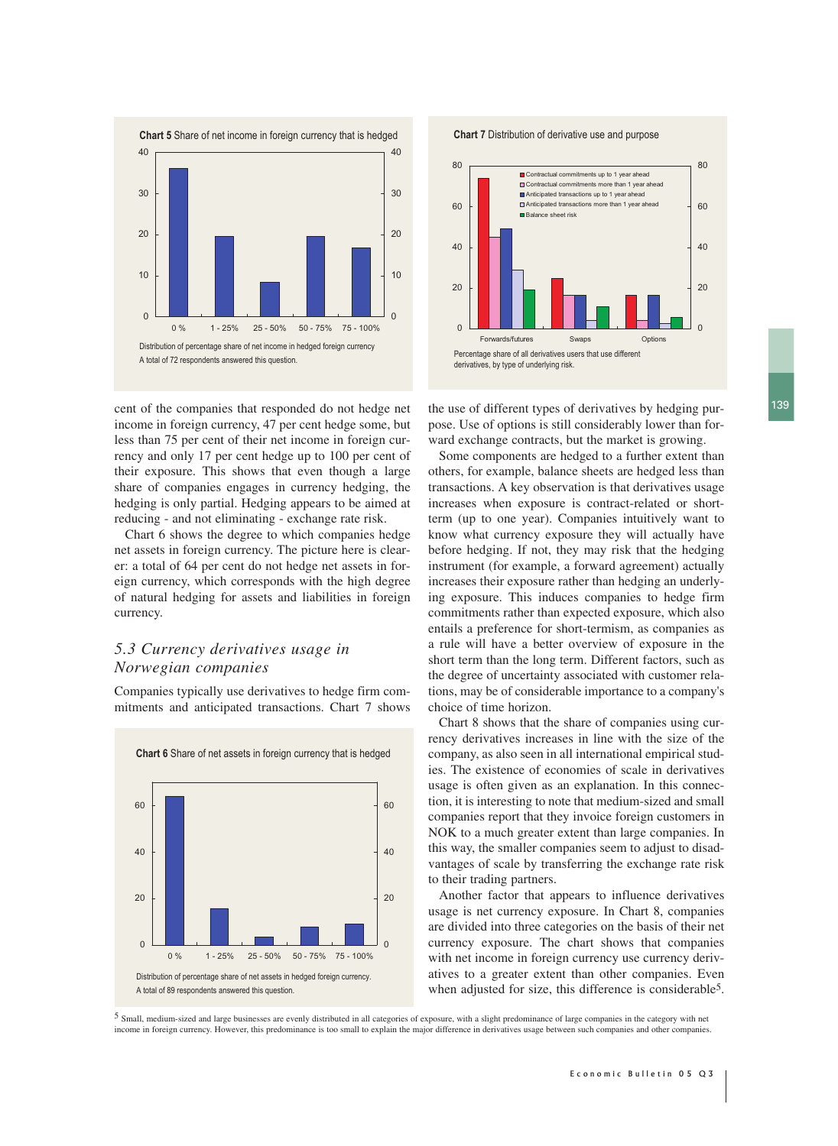

cent of the companies that responded do not hedge net the use of different types of derivatives by hedging purincome in foreign currency, 47 per cent hedge some, but less than 75 per cent of their net income in foreign currency and only 17 per cent hedge up to 100 per cent of their exposure. This shows that even though a large share of companies engages in currency hedging, the hedging is only partial. Hedging appears to be aimed at reducing - and not eliminating - exchange rate risk.

Chart 6 shows the degree to which companies hedge net assets in foreign currency. The picture here is clearer: a total of 64 per cent do not hedge net assets in foreign currency, which corresponds with the high degree of natural hedging for assets and liabilities in foreign currency.

### *5.3 Currency derivatives usage in Norwegian companies*

Companies typically use derivatives to hedge firm commitments and anticipated transactions. Chart 7 shows





**Chart 7** Distribution of derivative use and purpose



pose. Use of options is still considerably lower than forward exchange contracts, but the market is growing.

Some components are hedged to a further extent than others, for example, balance sheets are hedged less than transactions. A key observation is that derivatives usage increases when exposure is contract-related or shortterm (up to one year). Companies intuitively want to know what currency exposure they will actually have before hedging. If not, they may risk that the hedging instrument (for example, a forward agreement) actually increases their exposure rather than hedging an underlying exposure. This induces companies to hedge firm commitments rather than expected exposure, which also entails a preference for short-termism, as companies as a rule will have a better overview of exposure in the short term than the long term. Different factors, such as the degree of uncertainty associated with customer relations, may be of considerable importance to a company's choice of time horizon.

Chart 8 shows that the share of companies using currency derivatives increases in line with the size of the company, as also seen in all international empirical studies. The existence of economies of scale in derivatives usage is often given as an explanation. In this connection, it is interesting to note that medium-sized and small companies report that they invoice foreign customers in NOK to a much greater extent than large companies. In this way, the smaller companies seem to adjust to disadvantages of scale by transferring the exchange rate risk to their trading partners.

Another factor that appears to influence derivatives usage is net currency exposure. In Chart 8, companies are divided into three categories on the basis of their net currency exposure. The chart shows that companies with net income in foreign currency use currency derivatives to a greater extent than other companies. Even when adjusted for size, this difference is considerable<sup>5</sup>.

5 Small, medium-sized and large businesses are evenly distributed in all categories of exposure, with a slight predominance of large companies in the category with net income in foreign currency. However, this predominance is too small to explain the major difference in derivatives usage between such companies and other companies.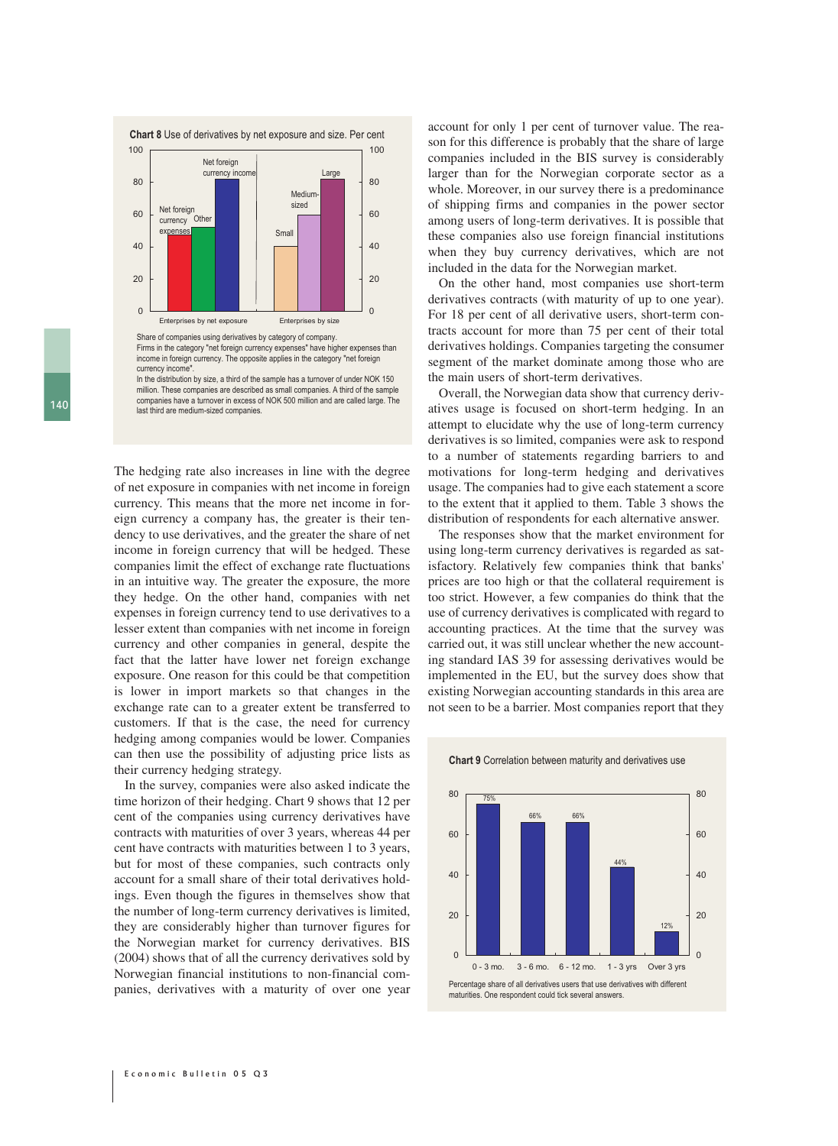

Share of companies using derivatives by category of company.

Firms in the category "net foreign currency expenses" have higher expenses than income in foreign currency. The opposite applies in the category "net foreign currency income

In the distribution by size, a third of the sample has a turnover of under NOK 150 million. These companies are described as small companies. A third of the sample companies have a turnover in excess of NOK 500 million and are called large. The last third are medium-sized companies.

The hedging rate also increases in line with the degree of net exposure in companies with net income in foreign currency. This means that the more net income in foreign currency a company has, the greater is their tendency to use derivatives, and the greater the share of net income in foreign currency that will be hedged. These companies limit the effect of exchange rate fluctuations in an intuitive way. The greater the exposure, the more they hedge. On the other hand, companies with net expenses in foreign currency tend to use derivatives to a lesser extent than companies with net income in foreign currency and other companies in general, despite the fact that the latter have lower net foreign exchange exposure. One reason for this could be that competition is lower in import markets so that changes in the exchange rate can to a greater extent be transferred to customers. If that is the case, the need for currency hedging among companies would be lower. Companies can then use the possibility of adjusting price lists as their currency hedging strategy.

In the survey, companies were also asked indicate the time horizon of their hedging. Chart 9 shows that 12 per cent of the companies using currency derivatives have contracts with maturities of over 3 years, whereas 44 per cent have contracts with maturities between 1 to 3 years, but for most of these companies, such contracts only account for a small share of their total derivatives holdings. Even though the figures in themselves show that the number of long-term currency derivatives is limited, they are considerably higher than turnover figures for the Norwegian market for currency derivatives. BIS (2004) shows that of all the currency derivatives sold by Norwegian financial institutions to non-financial companies, derivatives with a maturity of over one year account for only 1 per cent of turnover value. The reason for this difference is probably that the share of large companies included in the BIS survey is considerably larger than for the Norwegian corporate sector as a whole. Moreover, in our survey there is a predominance of shipping firms and companies in the power sector among users of long-term derivatives. It is possible that these companies also use foreign financial institutions when they buy currency derivatives, which are not included in the data for the Norwegian market.

On the other hand, most companies use short-term derivatives contracts (with maturity of up to one year). For 18 per cent of all derivative users, short-term contracts account for more than 75 per cent of their total derivatives holdings. Companies targeting the consumer segment of the market dominate among those who are the main users of short-term derivatives.

Overall, the Norwegian data show that currency derivatives usage is focused on short-term hedging. In an attempt to elucidate why the use of long-term currency derivatives is so limited, companies were ask to respond to a number of statements regarding barriers to and motivations for long-term hedging and derivatives usage. The companies had to give each statement a score to the extent that it applied to them. Table 3 shows the distribution of respondents for each alternative answer.

The responses show that the market environment for using long-term currency derivatives is regarded as satisfactory. Relatively few companies think that banks' prices are too high or that the collateral requirement is too strict. However, a few companies do think that the use of currency derivatives is complicated with regard to accounting practices. At the time that the survey was carried out, it was still unclear whether the new accounting standard IAS 39 for assessing derivatives would be implemented in the EU, but the survey does show that existing Norwegian accounting standards in this area are not seen to be a barrier. Most companies report that they



#### **Chart 9** Correlation between maturity and derivatives use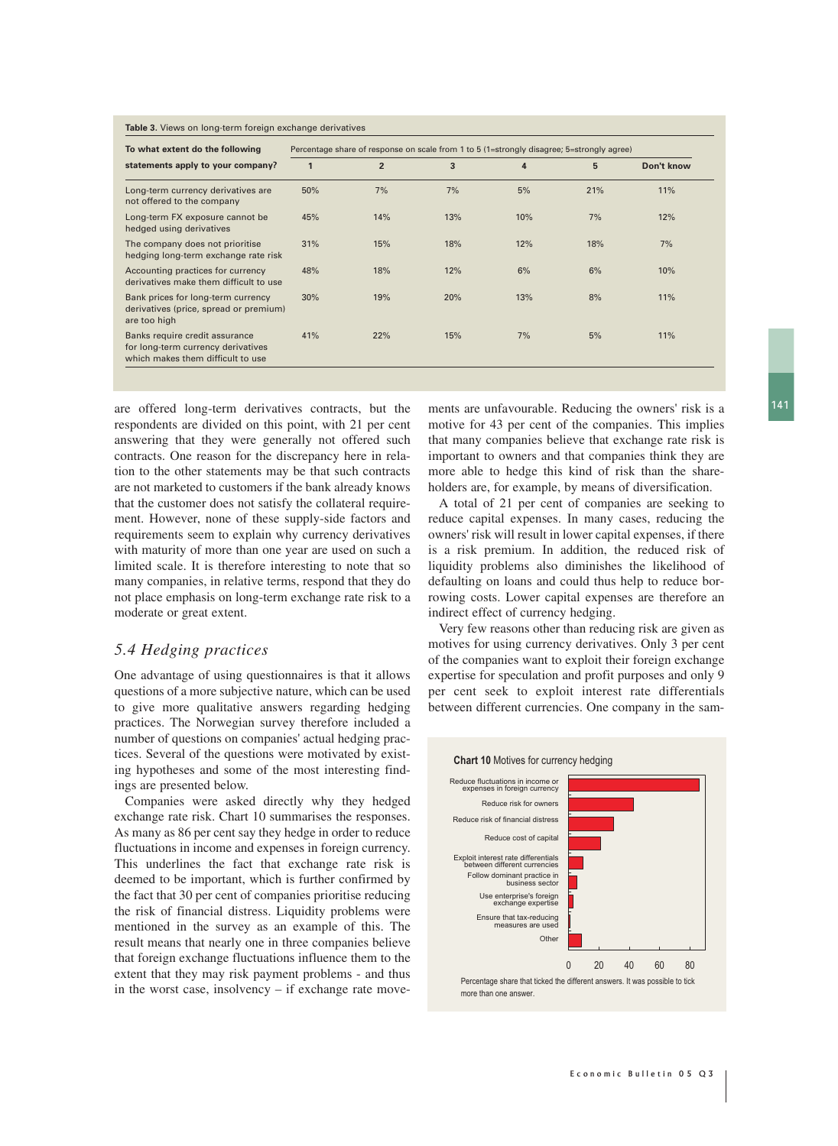**Table 3.** Views on long-term foreign exchange derivatives

| To what extent do the following                                                                           | Percentage share of response on scale from 1 to 5 (1=strongly disagree; 5=strongly agree) |                |     |     |     |            |  |
|-----------------------------------------------------------------------------------------------------------|-------------------------------------------------------------------------------------------|----------------|-----|-----|-----|------------|--|
| statements apply to your company?                                                                         | 1                                                                                         | $\overline{2}$ | 3   | 4   | 5   | Don't know |  |
| Long-term currency derivatives are<br>not offered to the company                                          | 50%                                                                                       | 7%             | 7%  | 5%  | 21% | 11%        |  |
| Long-term FX exposure cannot be<br>hedged using derivatives                                               | 45%                                                                                       | 14%            | 13% | 10% | 7%  | 12%        |  |
| The company does not prioritise<br>hedging long-term exchange rate risk                                   | 31%                                                                                       | 15%            | 18% | 12% | 18% | 7%         |  |
| Accounting practices for currency<br>derivatives make them difficult to use                               | 48%                                                                                       | 18%            | 12% | 6%  | 6%  | 10%        |  |
| Bank prices for long-term currency<br>derivatives (price, spread or premium)<br>are too high              | 30%                                                                                       | 19%            | 20% | 13% | 8%  | 11%        |  |
| Banks require credit assurance<br>for long-term currency derivatives<br>which makes them difficult to use | 41%                                                                                       | 22%            | 15% | 7%  | 5%  | 11%        |  |

are offered long-term derivatives contracts, but the ments are unfavourable. Reducing the owners' risk is a 141 respondents are divided on this point, with 21 per cent answering that they were generally not offered such contracts. One reason for the discrepancy here in relation to the other statements may be that such contracts are not marketed to customers if the bank already knows that the customer does not satisfy the collateral requirement. However, none of these supply-side factors and requirements seem to explain why currency derivatives with maturity of more than one year are used on such a limited scale. It is therefore interesting to note that so many companies, in relative terms, respond that they do not place emphasis on long-term exchange rate risk to a moderate or great extent.

#### *5.4 Hedging practices*

One advantage of using questionnaires is that it allows questions of a more subjective nature, which can be used to give more qualitative answers regarding hedging practices. The Norwegian survey therefore included a number of questions on companies' actual hedging practices. Several of the questions were motivated by existing hypotheses and some of the most interesting findings are presented below.

Companies were asked directly why they hedged exchange rate risk. Chart 10 summarises the responses. As many as 86 per cent say they hedge in order to reduce fluctuations in income and expenses in foreign currency. This underlines the fact that exchange rate risk is deemed to be important, which is further confirmed by the fact that 30 per cent of companies prioritise reducing the risk of financial distress. Liquidity problems were mentioned in the survey as an example of this. The result means that nearly one in three companies believe that foreign exchange fluctuations influence them to the extent that they may risk payment problems - and thus in the worst case, insolvency – if exchange rate movemotive for 43 per cent of the companies. This implies that many companies believe that exchange rate risk is important to owners and that companies think they are more able to hedge this kind of risk than the shareholders are, for example, by means of diversification.

A total of 21 per cent of companies are seeking to reduce capital expenses. In many cases, reducing the owners' risk will result in lower capital expenses, if there is a risk premium. In addition, the reduced risk of liquidity problems also diminishes the likelihood of defaulting on loans and could thus help to reduce borrowing costs. Lower capital expenses are therefore an indirect effect of currency hedging.

Very few reasons other than reducing risk are given as motives for using currency derivatives. Only 3 per cent of the companies want to exploit their foreign exchange expertise for speculation and profit purposes and only 9 per cent seek to exploit interest rate differentials between different currencies. One company in the sam-



more than one answer.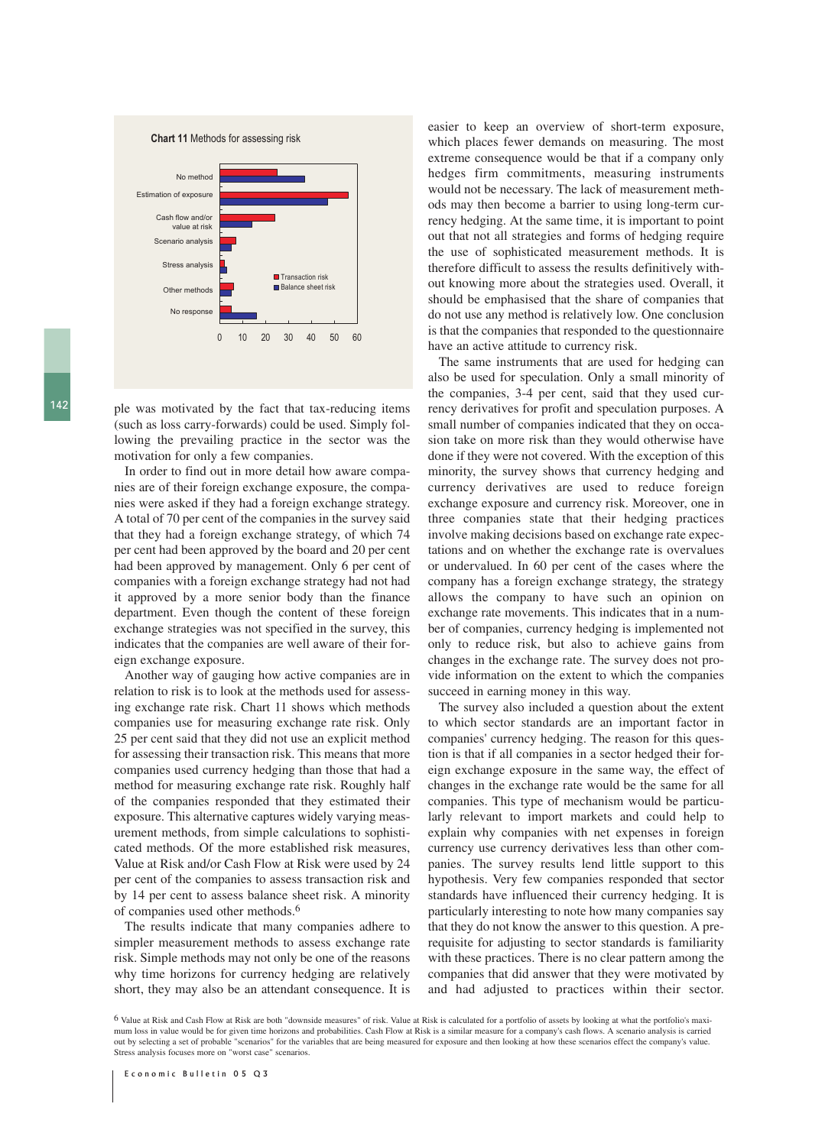**Chart 11** Methods for assessing risk



142 ple was motivated by the fact that tax-reducing items (such as loss carry-forwards) could be used. Simply following the prevailing practice in the sector was the motivation for only a few companies.

In order to find out in more detail how aware companies are of their foreign exchange exposure, the companies were asked if they had a foreign exchange strategy. A total of 70 per cent of the companies in the survey said that they had a foreign exchange strategy, of which 74 per cent had been approved by the board and 20 per cent had been approved by management. Only 6 per cent of companies with a foreign exchange strategy had not had it approved by a more senior body than the finance department. Even though the content of these foreign exchange strategies was not specified in the survey, this indicates that the companies are well aware of their foreign exchange exposure.

Another way of gauging how active companies are in relation to risk is to look at the methods used for assessing exchange rate risk. Chart 11 shows which methods companies use for measuring exchange rate risk. Only 25 per cent said that they did not use an explicit method for assessing their transaction risk. This means that more companies used currency hedging than those that had a method for measuring exchange rate risk. Roughly half of the companies responded that they estimated their exposure. This alternative captures widely varying measurement methods, from simple calculations to sophisticated methods. Of the more established risk measures, Value at Risk and/or Cash Flow at Risk were used by 24 per cent of the companies to assess transaction risk and by 14 per cent to assess balance sheet risk. A minority of companies used other methods.6

The results indicate that many companies adhere to simpler measurement methods to assess exchange rate risk. Simple methods may not only be one of the reasons why time horizons for currency hedging are relatively short, they may also be an attendant consequence. It is easier to keep an overview of short-term exposure, which places fewer demands on measuring. The most extreme consequence would be that if a company only hedges firm commitments, measuring instruments would not be necessary. The lack of measurement methods may then become a barrier to using long-term currency hedging. At the same time, it is important to point out that not all strategies and forms of hedging require the use of sophisticated measurement methods. It is therefore difficult to assess the results definitively without knowing more about the strategies used. Overall, it should be emphasised that the share of companies that do not use any method is relatively low. One conclusion is that the companies that responded to the questionnaire have an active attitude to currency risk.

The same instruments that are used for hedging can also be used for speculation. Only a small minority of the companies, 3-4 per cent, said that they used currency derivatives for profit and speculation purposes. A small number of companies indicated that they on occasion take on more risk than they would otherwise have done if they were not covered. With the exception of this minority, the survey shows that currency hedging and currency derivatives are used to reduce foreign exchange exposure and currency risk. Moreover, one in three companies state that their hedging practices involve making decisions based on exchange rate expectations and on whether the exchange rate is overvalues or undervalued. In 60 per cent of the cases where the company has a foreign exchange strategy, the strategy allows the company to have such an opinion on exchange rate movements. This indicates that in a number of companies, currency hedging is implemented not only to reduce risk, but also to achieve gains from changes in the exchange rate. The survey does not provide information on the extent to which the companies succeed in earning money in this way.

The survey also included a question about the extent to which sector standards are an important factor in companies' currency hedging. The reason for this question is that if all companies in a sector hedged their foreign exchange exposure in the same way, the effect of changes in the exchange rate would be the same for all companies. This type of mechanism would be particularly relevant to import markets and could help to explain why companies with net expenses in foreign currency use currency derivatives less than other companies. The survey results lend little support to this hypothesis. Very few companies responded that sector standards have influenced their currency hedging. It is particularly interesting to note how many companies say that they do not know the answer to this question. A prerequisite for adjusting to sector standards is familiarity with these practices. There is no clear pattern among the companies that did answer that they were motivated by and had adjusted to practices within their sector.

6 Value at Risk and Cash Flow at Risk are both "downside measures" of risk. Value at Risk is calculated for a portfolio of assets by looking at what the portfolio's maximum loss in value would be for given time horizons and probabilities. Cash Flow at Risk is a similar measure for a company's cash flows. A scenario analysis is carried out by selecting a set of probable "scenarios" for the variables that are being measured for exposure and then looking at how these scenarios effect the company's value. Stress analysis focuses more on "worst case" scenarios.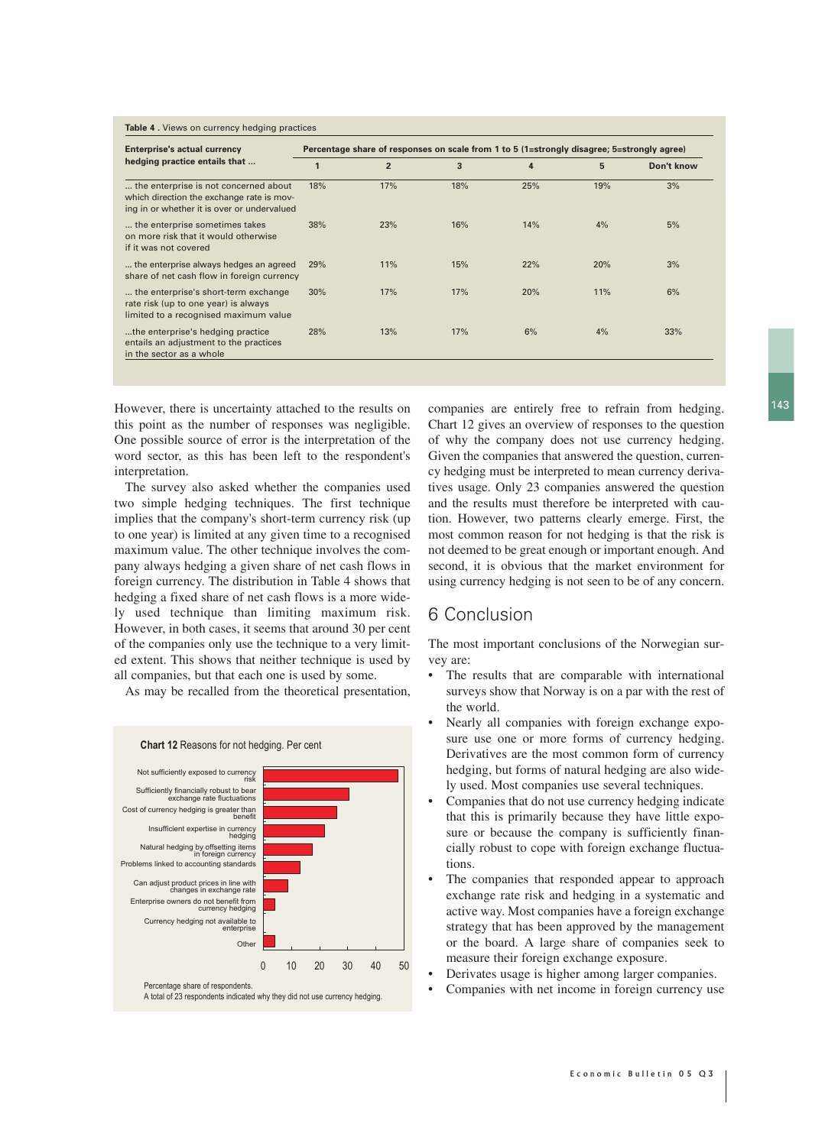| <b>Table 4.</b> Views on currency hedging practices |  |  |  |
|-----------------------------------------------------|--|--|--|
|-----------------------------------------------------|--|--|--|

| <b>Enterprise's actual currency</b>                                                                                               | Percentage share of responses on scale from 1 to 5 (1=strongly disagree; 5=strongly agree) |                |     |     |     |            |
|-----------------------------------------------------------------------------------------------------------------------------------|--------------------------------------------------------------------------------------------|----------------|-----|-----|-----|------------|
| hedging practice entails that                                                                                                     |                                                                                            | $\overline{2}$ | 3   | 4   | 5   | Don't know |
| the enterprise is not concerned about<br>which direction the exchange rate is mov-<br>ing in or whether it is over or undervalued | 18%                                                                                        | 17%            | 18% | 25% | 19% | 3%         |
| the enterprise sometimes takes<br>on more risk that it would otherwise<br>if it was not covered                                   | 38%                                                                                        | 23%            | 16% | 14% | 4%  | 5%         |
| the enterprise always hedges an agreed<br>share of net cash flow in foreign currency                                              | 29%                                                                                        | 11%            | 15% | 22% | 20% | 3%         |
| the enterprise's short-term exchange<br>rate risk (up to one year) is always<br>limited to a recognised maximum value             | 30%                                                                                        | 17%            | 17% | 20% | 11% | 6%         |
| the enterprise's hedging practice<br>entails an adjustment to the practices<br>in the sector as a whole                           | 28%                                                                                        | 13%            | 17% | 6%  | 4%  | 33%        |

However, there is uncertainty attached to the results on this point as the number of responses was negligible. One possible source of error is the interpretation of the word sector, as this has been left to the respondent's interpretation.

The survey also asked whether the companies used two simple hedging techniques. The first technique implies that the company's short-term currency risk (up to one year) is limited at any given time to a recognised maximum value. The other technique involves the company always hedging a given share of net cash flows in foreign currency. The distribution in Table 4 shows that hedging a fixed share of net cash flows is a more widely used technique than limiting maximum risk. However, in both cases, it seems that around 30 per cent of the companies only use the technique to a very limited extent. This shows that neither technique is used by all companies, but that each one is used by some.

As may be recalled from the theoretical presentation,



companies are entirely free to refrain from hedging. Chart 12 gives an overview of responses to the question of why the company does not use currency hedging. Given the companies that answered the question, currency hedging must be interpreted to mean currency derivatives usage. Only 23 companies answered the question and the results must therefore be interpreted with caution. However, two patterns clearly emerge. First, the most common reason for not hedging is that the risk is not deemed to be great enough or important enough. And second, it is obvious that the market environment for using currency hedging is not seen to be of any concern.

#### 6 Conclusion

The most important conclusions of the Norwegian survey are:

- The results that are comparable with international surveys show that Norway is on a par with the rest of the world.
- Nearly all companies with foreign exchange exposure use one or more forms of currency hedging. Derivatives are the most common form of currency hedging, but forms of natural hedging are also widely used. Most companies use several techniques.
- Companies that do not use currency hedging indicate that this is primarily because they have little exposure or because the company is sufficiently financially robust to cope with foreign exchange fluctuations.
- The companies that responded appear to approach exchange rate risk and hedging in a systematic and active way. Most companies have a foreign exchange strategy that has been approved by the management or the board. A large share of companies seek to measure their foreign exchange exposure.
- Derivates usage is higher among larger companies.
- Companies with net income in foreign currency use